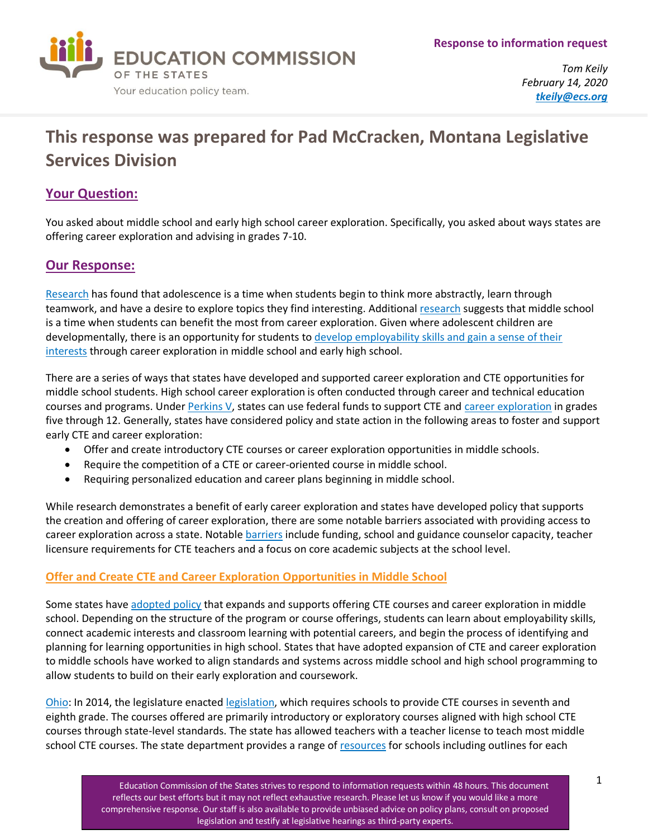

*Tom Keily February 14, 2020 [tkeily@ecs.org](mailto:tkeily@ecs.org)*

# **This response was prepared for Pad McCracken, Montana Legislative Services Division**

# **Your Question:**

You asked about middle school and early high school career exploration. Specifically, you asked about ways states are offering career exploration and advising in grades 7-10.

## **Our Response:**

[Research](http://www.nea.org/tools/16653.htm#i) has found that adolescence is a time when students begin to think more abstractly, learn through teamwork, and have a desire to explore topics they find interesting. Additiona[l research](https://files.eric.ed.gov/fulltext/ED498580.pdf) suggests that middle school is a time when students can benefit the most from career exploration. Given where adolescent children are developmentally, there is an opportunity for students to develop employability skills and gain a sense of their [interests](https://www.acteonline.org/wp-content/uploads/2018/02/ACTE_CC_Paper_FINAL.pdf) through career exploration in middle school and early high school.

There are a series of ways that states have developed and supported career exploration and CTE opportunities for middle school students. High school career exploration is often conducted through career and technical education courses and programs. Unde[r Perkins V,](https://cte.careertech.org/sites/default/files/PerkinsV_One-Pager_082418.pdf) states can use federal funds to support CTE and [career exploration](https://ednote.ecs.org/what-work-based-learning-looks-like-in-middle-school/) in grades five through 12. Generally, states have considered policy and state action in the following areas to foster and support early CTE and career exploration:

- Offer and create introductory CTE courses or career exploration opportunities in middle schools.
- Require the competition of a CTE or career-oriented course in middle school.
- Requiring personalized education and career plans beginning in middle school.

While research demonstrates a benefit of early career exploration and states have developed policy that supports the creation and offering of career exploration, there are some notable barriers associated with providing access to career exploration across a state. Notable [barriers](https://www.acteonline.org/wp-content/uploads/2018/02/ACTE_CC_Paper_FINAL.pdf) include funding, school and guidance counselor capacity, teacher licensure requirements for CTE teachers and a focus on core academic subjects at the school level.

## **Offer and Create CTE and Career Exploration Opportunities in Middle School**

Some states have [adopted policy](https://cte.careertech.org/sites/default/files/files/resources/AdvanceCTE_MiddleSchoolCTEReport_2018.pdf) that expands and supports offering CTE courses and career exploration in middle school. Depending on the structure of the program or course offerings, students can learn about employability skills, connect academic interests and classroom learning with potential careers, and begin the process of identifying and planning for learning opportunities in high school. States that have adopted expansion of CTE and career exploration to middle schools have worked to align standards and systems across middle school and high school programming to allow students to build on their early exploration and coursework.

[Ohio:](http://education.ohio.gov/Topics/Career-Tech/CTE-Middle-Grade-Programming) In 2014, the legislature enacte[d legislation,](http://archives.legislature.state.oh.us/BillText129/129_HB_487_EN_N.html) which requires schools to provide CTE courses in seventh and eighth grade. The courses offered are primarily introductory or exploratory courses aligned with high school CTE courses through state-level standards. The state has allowed teachers with a teacher license to teach most middle school CTE courses. The state department provides a range of [resources](http://education.ohio.gov/Topics/Career-Tech/CTE-Middle-Grade-Programming) for schools including outlines for each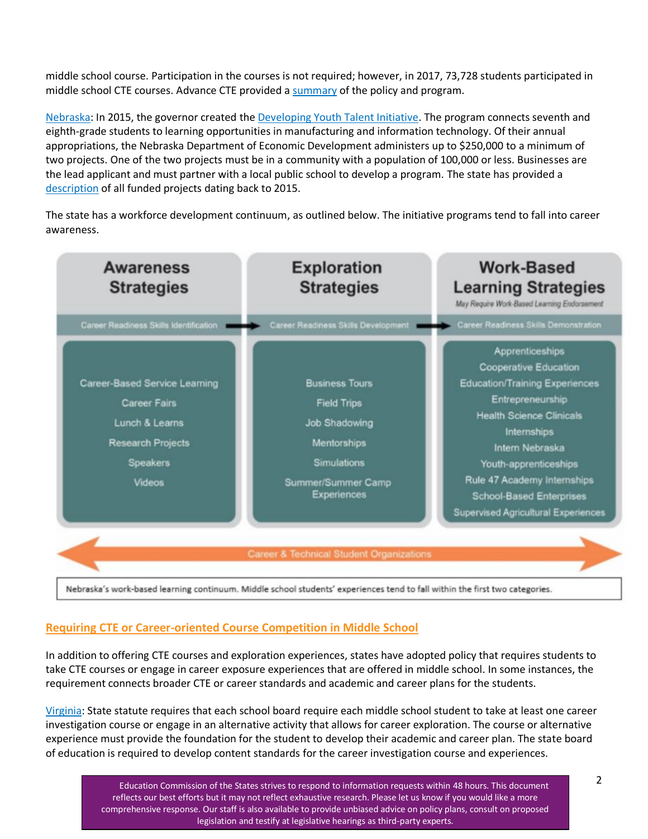middle school course. Participation in the courses is not required; however, in 2017, 73,728 students participated in middle school CTE courses. Advance CTE provided a [summary](https://careertech.org/resource/ohio-middle-school-cte-expansion) of the policy and program.

[Nebraska:](https://opportunity.nebraska.gov/program/nebraska-developing-youth-talent-initiative/) In 2015, the governor created the [Developing Youth Talent Initiative.](https://cdn.education.ne.gov/wp-content/uploads/2019/01/Developing-Youth-Talent-Initiative-Flyer.pdf) The program connects seventh and eighth-grade students to learning opportunities in manufacturing and information technology. Of their annual appropriations, the Nebraska Department of Economic Development administers up to \$250,000 to a minimum of two projects. One of the two projects must be in a community with a population of 100,000 or less. Businesses are the lead applicant and must partner with a local public school to develop a program. The state has provided a [description](https://opportunity.nebraska.gov/wp-content/uploads/2017/06/2020-DYTI-Project-Summaries.pdf) of all funded projects dating back to 2015.

The state has a workforce development continuum, as outlined below. The initiative programs tend to fall into career awareness.



### **Requiring CTE or Career-oriented Course Competition in Middle School**

In addition to offering CTE courses and exploration experiences, states have adopted policy that requires students to take CTE courses or engage in career exposure experiences that are offered in middle school. In some instances, the requirement connects broader CTE or career standards and academic and career plans for the students.

[Virginia:](https://law.lis.virginia.gov/vacode/title22.1/chapter13.2/section22.1-253.13:1/) State statute requires that each school board require each middle school student to take at least one career investigation course or engage in an alternative activity that allows for career exploration. The course or alternative experience must provide the foundation for the student to develop their academic and career plan. The state board of education is required to develop content standards for the career investigation course and experiences.

> Education Commission of the States strives to respond to information requests within 48 hours. This document reflects our best efforts but it may not reflect exhaustive research. Please let us know if you would like a more comprehensive response. Our staff is also available to provide unbiased advice on policy plans, consult on proposed legislation and testify at legislative hearings as third-party experts.